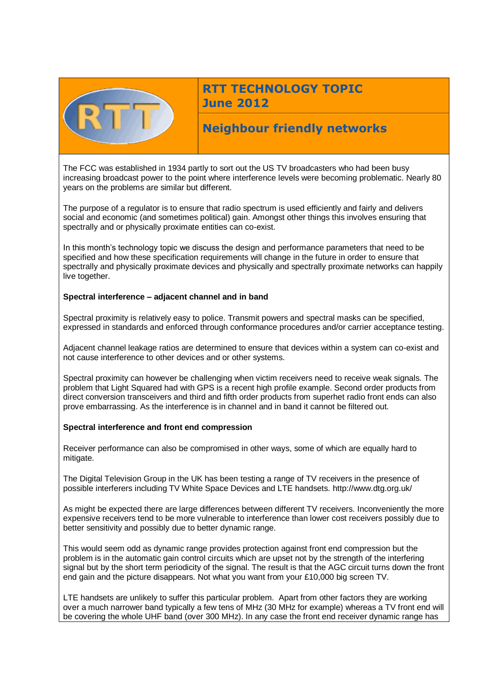

# **RTT TECHNOLOGY TOPIC June 2012**

# **Neighbour friendly networks**

The FCC was established in 1934 partly to sort out the US TV broadcasters who had been busy increasing broadcast power to the point where interference levels were becoming problematic. Nearly 80 years on the problems are similar but different.

The purpose of a regulator is to ensure that radio spectrum is used efficiently and fairly and delivers social and economic (and sometimes political) gain. Amongst other things this involves ensuring that spectrally and or physically proximate entities can co-exist.

In this month's technology topic we discuss the design and performance parameters that need to be specified and how these specification requirements will change in the future in order to ensure that spectrally and physically proximate devices and physically and spectrally proximate networks can happily live together.

## **Spectral interference – adjacent channel and in band**

Spectral proximity is relatively easy to police. Transmit powers and spectral masks can be specified, expressed in standards and enforced through conformance procedures and/or carrier acceptance testing.

Adjacent channel leakage ratios are determined to ensure that devices within a system can co-exist and not cause interference to other devices and or other systems.

Spectral proximity can however be challenging when victim receivers need to receive weak signals. The problem that Light Squared had with GPS is a recent high profile example. Second order products from direct conversion transceivers and third and fifth order products from superhet radio front ends can also prove embarrassing. As the interference is in channel and in band it cannot be filtered out.

## **Spectral interference and front end compression**

Receiver performance can also be compromised in other ways, some of which are equally hard to mitigate.

The Digital Television Group in the UK has been testing a range of TV receivers in the presence of possible interferers including TV White Space Devices and LTE handsets. http://www.dtg.org.uk/

As might be expected there are large differences between different TV receivers. Inconveniently the more expensive receivers tend to be more vulnerable to interference than lower cost receivers possibly due to better sensitivity and possibly due to better dynamic range.

This would seem odd as dynamic range provides protection against front end compression but the problem is in the automatic gain control circuits which are upset not by the strength of the interfering signal but by the short term periodicity of the signal. The result is that the AGC circuit turns down the front end gain and the picture disappears. Not what you want from your £10,000 big screen TV.

LTE handsets are unlikely to suffer this particular problem. Apart from other factors they are working over a much narrower band typically a few tens of MHz (30 MHz for example) whereas a TV front end will be covering the whole UHF band (over 300 MHz). In any case the front end receiver dynamic range has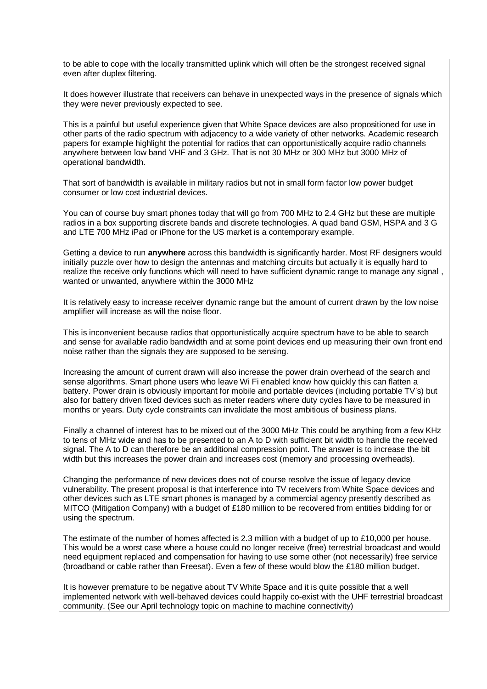to be able to cope with the locally transmitted uplink which will often be the strongest received signal even after duplex filtering.

It does however illustrate that receivers can behave in unexpected ways in the presence of signals which they were never previously expected to see.

This is a painful but useful experience given that White Space devices are also propositioned for use in other parts of the radio spectrum with adjacency to a wide variety of other networks. Academic research papers for example highlight the potential for radios that can opportunistically acquire radio channels anywhere between low band VHF and 3 GHz. That is not 30 MHz or 300 MHz but 3000 MHz of operational bandwidth.

That sort of bandwidth is available in military radios but not in small form factor low power budget consumer or low cost industrial devices.

You can of course buy smart phones today that will go from 700 MHz to 2.4 GHz but these are multiple radios in a box supporting discrete bands and discrete technologies. A quad band GSM, HSPA and 3 G and LTE 700 MHz iPad or iPhone for the US market is a contemporary example.

Getting a device to run **anywhere** across this bandwidth is significantly harder. Most RF designers would initially puzzle over how to design the antennas and matching circuits but actually it is equally hard to realize the receive only functions which will need to have sufficient dynamic range to manage any signal , wanted or unwanted, anywhere within the 3000 MHz

It is relatively easy to increase receiver dynamic range but the amount of current drawn by the low noise amplifier will increase as will the noise floor.

This is inconvenient because radios that opportunistically acquire spectrum have to be able to search and sense for available radio bandwidth and at some point devices end up measuring their own front end noise rather than the signals they are supposed to be sensing.

Increasing the amount of current drawn will also increase the power drain overhead of the search and sense algorithms. Smart phone users who leave Wi Fi enabled know how quickly this can flatten a battery. Power drain is obviously important for mobile and portable devices (including portable TV's) but also for battery driven fixed devices such as meter readers where duty cycles have to be measured in months or years. Duty cycle constraints can invalidate the most ambitious of business plans.

Finally a channel of interest has to be mixed out of the 3000 MHz This could be anything from a few KHz to tens of MHz wide and has to be presented to an A to D with sufficient bit width to handle the received signal. The A to D can therefore be an additional compression point. The answer is to increase the bit width but this increases the power drain and increases cost (memory and processing overheads).

Changing the performance of new devices does not of course resolve the issue of legacy device vulnerability. The present proposal is that interference into TV receivers from White Space devices and other devices such as LTE smart phones is managed by a commercial agency presently described as MITCO (Mitigation Company) with a budget of £180 million to be recovered from entities bidding for or using the spectrum.

The estimate of the number of homes affected is 2.3 million with a budget of up to £10,000 per house. This would be a worst case where a house could no longer receive (free) terrestrial broadcast and would need equipment replaced and compensation for having to use some other (not necessarily) free service (broadband or cable rather than Freesat). Even a few of these would blow the £180 million budget.

It is however premature to be negative about TV White Space and it is quite possible that a well implemented network with well-behaved devices could happily co-exist with the UHF terrestrial broadcast community. (See our April technology topic on machine to machine connectivity)